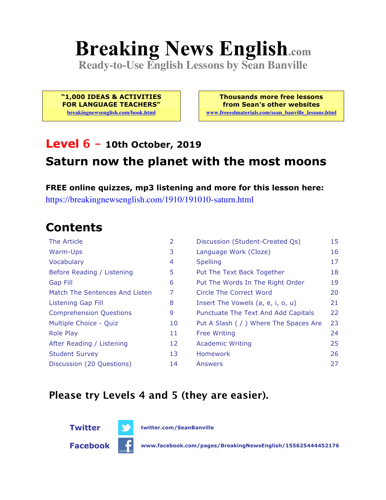# **Breaking News English.com**

**Ready-to-Use English Lessons by Sean Banville**

**"1,000 IDEAS & ACTIVITIES FOR LANGUAGE TEACHERS" breakingnewsenglish.com/book.html**

**Thousands more free lessons from Sean's other websites www.freeeslmaterials.com/sean\_banville\_lessons.html**

### **Level 6 - 10th October, 2019 Saturn now the planet with the most moons**

**FREE online quizzes, mp3 listening and more for this lesson here:** https://breakingnewsenglish.com/1910/191010-saturn.html

### **Contents**

| The Article                    | 2  | Discussion (Student-Created Qs)        | 15 |
|--------------------------------|----|----------------------------------------|----|
| Warm-Ups                       | 3  | Language Work (Cloze)                  | 16 |
| Vocabulary                     | 4  | <b>Spelling</b>                        | 17 |
| Before Reading / Listening     | 5  | Put The Text Back Together             | 18 |
| <b>Gap Fill</b>                | 6  | Put The Words In The Right Order       | 19 |
| Match The Sentences And Listen | 7  | Circle The Correct Word                | 20 |
| Listening Gap Fill             | 8  | Insert The Vowels (a, e, i, o, u)      | 21 |
| <b>Comprehension Questions</b> | 9  | Punctuate The Text And Add Capitals    | 22 |
| Multiple Choice - Quiz         | 10 | Put A Slash ( / ) Where The Spaces Are | 23 |
| <b>Role Play</b>               | 11 | <b>Free Writing</b>                    | 24 |
| After Reading / Listening      | 12 | <b>Academic Writing</b>                | 25 |
| <b>Student Survey</b>          | 13 | Homework                               | 26 |
| Discussion (20 Questions)      | 14 | Answers                                | 27 |

#### **Please try Levels 4 and 5 (they are easier).**





**Twitter twitter.com/SeanBanville**

**Facebook www.facebook.com/pages/BreakingNewsEnglish/155625444452176**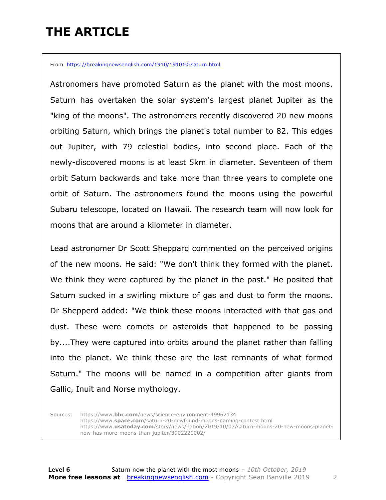## **THE ARTICLE**

From https://breakingnewsenglish.com/1910/191010-saturn.html

Astronomers have promoted Saturn as the planet with the most moons. Saturn has overtaken the solar system's largest planet Jupiter as the "king of the moons". The astronomers recently discovered 20 new moons orbiting Saturn, which brings the planet's total number to 82. This edges out Jupiter, with 79 celestial bodies, into second place. Each of the newly-discovered moons is at least 5km in diameter. Seventeen of them orbit Saturn backwards and take more than three years to complete one orbit of Saturn. The astronomers found the moons using the powerful Subaru telescope, located on Hawaii. The research team will now look for moons that are around a kilometer in diameter.

Lead astronomer Dr Scott Sheppard commented on the perceived origins of the new moons. He said: "We don't think they formed with the planet. We think they were captured by the planet in the past." He posited that Saturn sucked in a swirling mixture of gas and dust to form the moons. Dr Shepperd added: "We think these moons interacted with that gas and dust. These were comets or asteroids that happened to be passing by....They were captured into orbits around the planet rather than falling into the planet. We think these are the last remnants of what formed Saturn." The moons will be named in a competition after giants from Gallic, Inuit and Norse mythology.

Sources: https://www.**bbc.com**/news/science-environment-49962134 https://www.**space.com**/saturn-20-newfound-moons-naming-contest.html https://www.**usatoday.com**/story/news/nation/2019/10/07/saturn-moons-20-new-moons-planetnow-has-more-moons-than-jupiter/3902220002/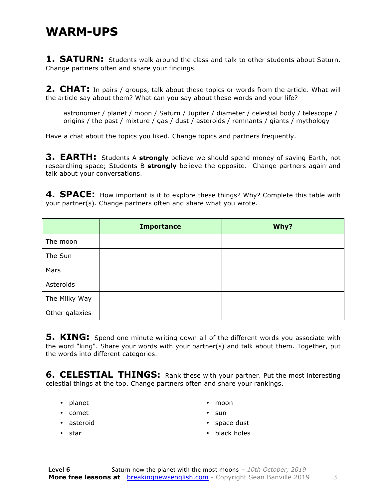#### **WARM-UPS**

**1. SATURN:** Students walk around the class and talk to other students about Saturn. Change partners often and share your findings.

**2. CHAT:** In pairs / groups, talk about these topics or words from the article. What will the article say about them? What can you say about these words and your life?

astronomer / planet / moon / Saturn / Jupiter / diameter / celestial body / telescope / origins / the past / mixture / gas / dust / asteroids / remnants / giants / mythology

Have a chat about the topics you liked. Change topics and partners frequently.

**3. EARTH:** Students A **strongly** believe we should spend money of saving Earth, not researching space; Students B **strongly** believe the opposite. Change partners again and talk about your conversations.

**4. SPACE:** How important is it to explore these things? Why? Complete this table with your partner(s). Change partners often and share what you wrote.

|                | <b>Importance</b> | Why? |
|----------------|-------------------|------|
| The moon       |                   |      |
| The Sun        |                   |      |
| Mars           |                   |      |
| Asteroids      |                   |      |
| The Milky Way  |                   |      |
| Other galaxies |                   |      |

**5. KING:** Spend one minute writing down all of the different words you associate with the word "king". Share your words with your partner(s) and talk about them. Together, put the words into different categories.

**6. CELESTIAL THINGS:** Rank these with your partner. Put the most interesting celestial things at the top. Change partners often and share your rankings.

- planet
- comet
- asteroid
- moon
- sun
- space dust

• star

• black holes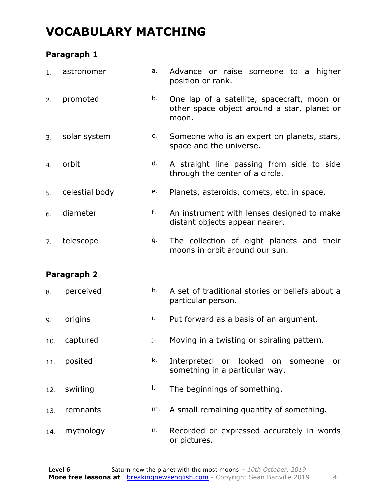### **VOCABULARY MATCHING**

#### **Paragraph 1**

| 1.  | astronomer     | a. | Advance or raise someone to a<br>higher<br>position or rank.                                        |
|-----|----------------|----|-----------------------------------------------------------------------------------------------------|
| 2.  | promoted       | b. | One lap of a satellite, spacecraft, moon or<br>other space object around a star, planet or<br>moon. |
| 3.  | solar system   | c. | Someone who is an expert on planets, stars,<br>space and the universe.                              |
| 4.  | orbit          | d. | A straight line passing from side to side<br>through the center of a circle.                        |
| 5.  | celestial body | e. | Planets, asteroids, comets, etc. in space.                                                          |
| 6.  | diameter       | f. | An instrument with lenses designed to make<br>distant objects appear nearer.                        |
| 7.  | telescope      | g. | The collection of eight planets and their<br>moons in orbit around our sun.                         |
|     |                |    |                                                                                                     |
|     | Paragraph 2    |    |                                                                                                     |
| 8.  | perceived      | h. | A set of traditional stories or beliefs about a<br>particular person.                               |
| 9.  | origins        | i. | Put forward as a basis of an argument.                                                              |
| 10. | captured       | j. | Moving in a twisting or spiraling pattern.                                                          |
| 11. | posited        | k. | Interpreted or looked on someone<br>or<br>something in a particular way.                            |
| 12. | swirling       | I. | The beginnings of something.                                                                        |
| 13. | remnants       | m. | A small remaining quantity of something.                                                            |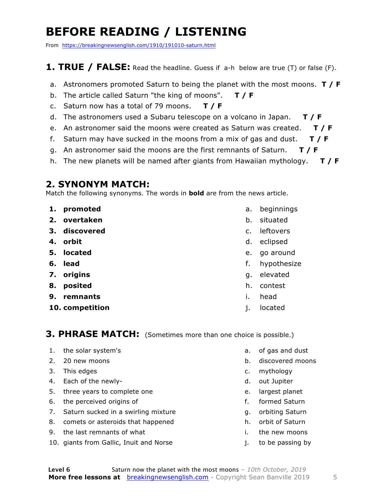# **BEFORE READING / LISTENING**

From https://breakingnewsenglish.com/1910/191010-saturn.html

#### **1. TRUE / FALSE:** Read the headline. Guess if a-h below are true (T) or false (F).

- a. Astronomers promoted Saturn to being the planet with the most moons. **T / F**
- b. The article called Saturn "the king of moons". **T / F**
- c. Saturn now has a total of 79 moons. **T / F**
- d. The astronomers used a Subaru telescope on a volcano in Japan. **T / F**
- e. An astronomer said the moons were created as Saturn was created. **T / F**
- f. Saturn may have sucked in the moons from a mix of gas and dust. **T / F**
- g. An astronomer said the moons are the first remnants of Saturn. **T / F**
- h. The new planets will be named after giants from Hawaiian mythology. **T / F**

#### **2. SYNONYM MATCH:**

Match the following synonyms. The words in **bold** are from the news article.

- **1. promoted**
- **2. overtaken**
- **3. discovered**
- **4. orbit**
- **5. located**
- **6. lead**
- **7. origins**
- **8. posited**
- **9. remnants**
- **10. competition**
- a. beginnings
- b. situated
- c. leftovers
- d. eclipsed
- e. go around
- f. hypothesize
- g. elevated
- h. contest
- i. head
- j. located

#### **3. PHRASE MATCH:** (Sometimes more than one choice is possible.)

- 1. the solar system's
- 2. 20 new moons
- 3. This edges
- 4. Each of the newly-
- 5. three years to complete one
- 6. the perceived origins of
- 7. Saturn sucked in a swirling mixture
- 8. comets or asteroids that happened
- 9. the last remnants of what
- 10. giants from Gallic, Inuit and Norse
- a. of gas and dust
- b. discovered moons
- c. mythology
- d. out Jupiter
- e. largest planet
- f. formed Saturn
- g. orbiting Saturn
- h. orbit of Saturn
- i. the new moons
- j. to be passing by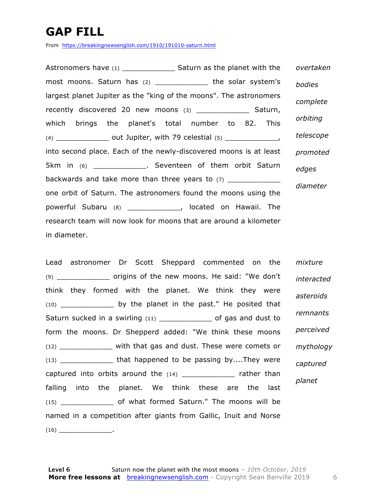# **GAP FILL**

From https://breakingnewsenglish.com/1910/191010-saturn.html

Astronomers have (1) \_\_\_\_\_\_\_\_\_\_\_\_ Saturn as the planet with the most moons. Saturn has (2) \_\_\_\_\_\_\_\_\_\_\_\_ the solar system's largest planet Jupiter as the "king of the moons". The astronomers recently discovered 20 new moons (3) \_\_\_\_\_\_\_\_\_\_\_\_\_\_ Saturn, which brings the planet's total number to 82. This (4)  $\frac{1}{2}$  out Jupiter, with 79 celestial (5)  $\frac{1}{2}$ into second place. Each of the newly-discovered moons is at least 5km in (6) \_\_\_\_\_\_\_\_\_\_\_\_\_. Seventeen of them orbit Saturn backwards and take more than three years to (7) one orbit of Saturn. The astronomers found the moons using the powerful Subaru (8) \_\_\_\_\_\_\_\_\_\_\_\_, located on Hawaii. The research team will now look for moons that are around a kilometer in diameter. *overtaken bodies complete orbiting telescope promoted edges diameter*

Lead astronomer Dr Scott Sheppard commented on the (9) \_\_\_\_\_\_\_\_\_\_\_\_ origins of the new moons. He said: "We don't think they formed with the planet. We think they were (10) \_\_\_\_\_\_\_\_\_\_\_\_ by the planet in the past." He posited that Saturn sucked in a swirling (11) \_\_\_\_\_\_\_\_\_\_\_\_\_\_\_ of gas and dust to form the moons. Dr Shepperd added: "We think these moons (12) \_\_\_\_\_\_\_\_\_\_\_\_ with that gas and dust. These were comets or (13) \_\_\_\_\_\_\_\_\_\_\_\_ that happened to be passing by....They were captured into orbits around the (14) \_\_\_\_\_\_\_\_\_\_\_\_\_ rather than falling into the planet. We think these are the last (15) \_\_\_\_\_\_\_\_\_\_\_\_ of what formed Saturn." The moons will be named in a competition after giants from Gallic, Inuit and Norse  $(16)$ *mixture interacted asteroids remnants perceived mythology captured planet*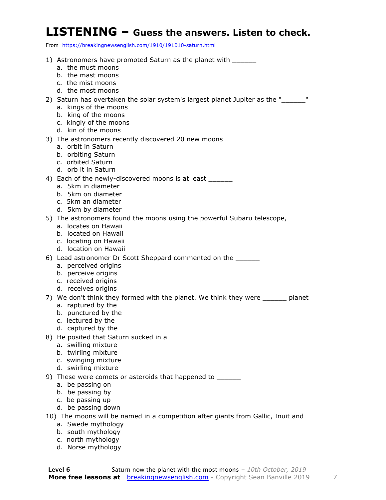#### **LISTENING – Guess the answers. Listen to check.**

From https://breakingnewsenglish.com/1910/191010-saturn.html

| 1) Astronomers have promoted Saturn as the planet with ______                      |
|------------------------------------------------------------------------------------|
| a. the must moons                                                                  |
| b. the mast moons                                                                  |
| c. the mist moons                                                                  |
| d. the most moons                                                                  |
| 2) Saturn has overtaken the solar system's largest planet Jupiter as the "______"  |
| a. kings of the moons                                                              |
| b. king of the moons                                                               |
| c. kingly of the moons                                                             |
| d. kin of the moons                                                                |
| 3) The astronomers recently discovered 20 new moons ______                         |
| a. orbit in Saturn                                                                 |
| b. orbiting Saturn                                                                 |
| c. orbited Saturn                                                                  |
| d. orb it in Saturn                                                                |
| 4) Each of the newly-discovered moons is at least                                  |
| a. 5km in diameter                                                                 |
| b. 5km on diameter                                                                 |
| c. 5km an diameter                                                                 |
| d. 5km by diameter                                                                 |
| 5) The astronomers found the moons using the powerful Subaru telescope, _______    |
| a. locates on Hawaii                                                               |
| b. located on Hawaii                                                               |
| c. locating on Hawaii                                                              |
| d. location on Hawaii                                                              |
| 6) Lead astronomer Dr Scott Sheppard commented on the _______                      |
| a. perceived origins                                                               |
| b. perceive origins                                                                |
| c. received origins                                                                |
| d. receives origins                                                                |
| 7) We don't think they formed with the planet. We think they were ______ planet    |
| a. raptured by the                                                                 |
| b. punctured by the                                                                |
| c. lectured by the                                                                 |
| d. captured by the                                                                 |
| 8) He posited that Saturn sucked in a _______                                      |
| a. swilling mixture                                                                |
| b. twirling mixture                                                                |
| c. swinging mixture                                                                |
| d. swirling mixture                                                                |
| 9) These were comets or asteroids that happened to _______                         |
| a. be passing on                                                                   |
| b. be passing by                                                                   |
| c. be passing up                                                                   |
| d. be passing down                                                                 |
| 10) The moons will be named in a competition after giants from Gallic, Inuit and _ |
| a. Swede mythology                                                                 |
| b. south mythology                                                                 |

- c. north mythology
- d. Norse mythology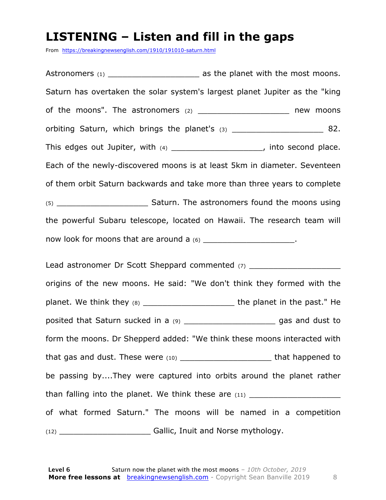### **LISTENING – Listen and fill in the gaps**

From https://breakingnewsenglish.com/1910/191010-saturn.html

Astronomers (1) \_\_\_\_\_\_\_\_\_\_\_\_\_\_\_\_\_\_\_ as the planet with the most moons. Saturn has overtaken the solar system's largest planet Jupiter as the "king of the moons". The astronomers (2) example a stronomers (2) the moons orbiting Saturn, which brings the planet's (3)  $\qquad \qquad$  82. This edges out Jupiter, with (4) \_\_\_\_\_\_\_\_\_\_\_\_\_\_\_\_\_\_\_\_\_, into second place. Each of the newly-discovered moons is at least 5km in diameter. Seventeen of them orbit Saturn backwards and take more than three years to complete (5) Saturn. The astronomers found the moons using the powerful Subaru telescope, located on Hawaii. The research team will now look for moons that are around a  $(6)$  \_\_\_\_\_\_\_\_\_\_\_\_\_\_\_\_\_\_\_\_\_\_\_.

Lead astronomer Dr Scott Sheppard commented (7) \_\_\_\_\_\_\_\_\_\_\_\_\_\_\_\_\_\_\_\_\_\_\_\_\_\_\_\_\_\_\_\_ origins of the new moons. He said: "We don't think they formed with the planet. We think they (8) planet in the past." He posited that Saturn sucked in a (9) \_\_\_\_\_\_\_\_\_\_\_\_\_\_\_\_\_\_\_\_\_\_\_\_\_ gas and dust to form the moons. Dr Shepperd added: "We think these moons interacted with that gas and dust. These were (10) \_\_\_\_\_\_\_\_\_\_\_\_\_\_\_\_\_\_\_\_\_\_\_\_\_\_\_ that happened to be passing by....They were captured into orbits around the planet rather than falling into the planet. We think these are  $(11)$ of what formed Saturn." The moons will be named in a competition (12) \_\_\_\_\_\_\_\_\_\_\_\_\_\_\_\_\_\_\_ Gallic, Inuit and Norse mythology.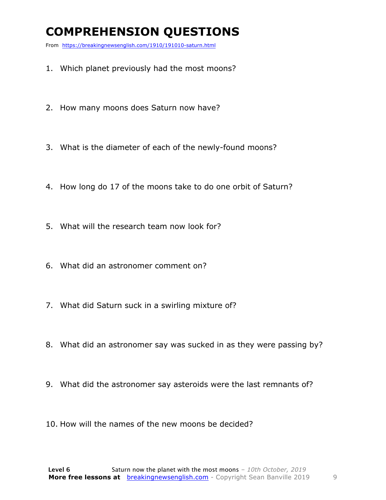### **COMPREHENSION QUESTIONS**

From https://breakingnewsenglish.com/1910/191010-saturn.html

- 1. Which planet previously had the most moons?
- 2. How many moons does Saturn now have?
- 3. What is the diameter of each of the newly-found moons?
- 4. How long do 17 of the moons take to do one orbit of Saturn?
- 5. What will the research team now look for?
- 6. What did an astronomer comment on?
- 7. What did Saturn suck in a swirling mixture of?
- 8. What did an astronomer say was sucked in as they were passing by?
- 9. What did the astronomer say asteroids were the last remnants of?
- 10. How will the names of the new moons be decided?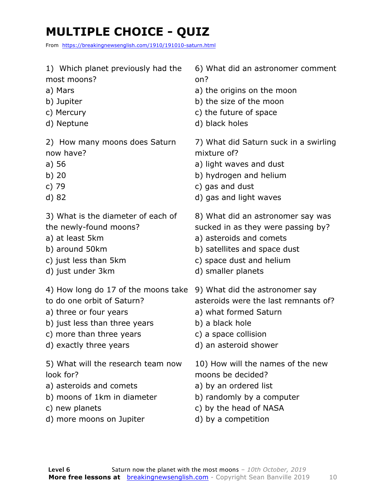# **MULTIPLE CHOICE - QUIZ**

From https://breakingnewsenglish.com/1910/191010-saturn.html

- 1) Which planet previously had the most moons?
- a) Mars
- b) Jupiter
- c) Mercury
- d) Neptune

2) How many moons does Saturn now have?

- a) 56
- b) 20
- c) 79
- d) 82

3) What is the diameter of each of the newly-found moons?

- a) at least 5km
- b) around 50km
- c) just less than 5km
- d) just under 3km
- 4) How long do 17 of the moons take to do one orbit of Saturn?
- a) three or four years
- b) just less than three years
- c) more than three years
- d) exactly three years

5) What will the research team now look for?

- a) asteroids and comets
- b) moons of 1km in diameter
- c) new planets
- d) more moons on Jupiter

6) What did an astronomer comment on?

- a) the origins on the moon
- b) the size of the moon
- c) the future of space
- d) black holes

7) What did Saturn suck in a swirling mixture of?

- a) light waves and dust
- b) hydrogen and helium
- c) gas and dust
- d) gas and light waves

8) What did an astronomer say was sucked in as they were passing by?

- a) asteroids and comets
- b) satellites and space dust
- c) space dust and helium
- d) smaller planets
- 9) What did the astronomer say
- asteroids were the last remnants of?
- a) what formed Saturn
- b) a black hole
- c) a space collision
- d) an asteroid shower

10) How will the names of the new moons be decided?

- a) by an ordered list
- b) randomly by a computer
- c) by the head of NASA
- d) by a competition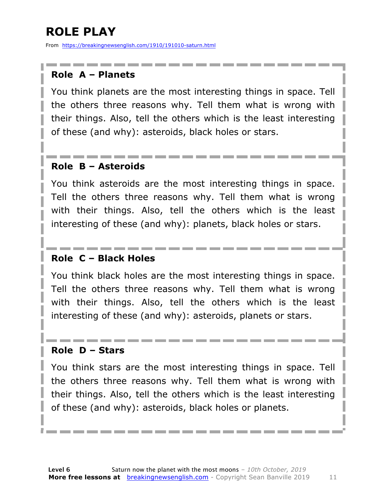# **ROLE PLAY**

From https://breakingnewsenglish.com/1910/191010-saturn.html

#### **Role A – Planets**

You think planets are the most interesting things in space. Tell the others three reasons why. Tell them what is wrong with their things. Also, tell the others which is the least interesting of these (and why): asteroids, black holes or stars.

#### **Role B – Asteroids**

You think asteroids are the most interesting things in space. Tell the others three reasons why. Tell them what is wrong with their things. Also, tell the others which is the least interesting of these (and why): planets, black holes or stars.

#### **Role C – Black Holes**

You think black holes are the most interesting things in space. Tell the others three reasons why. Tell them what is wrong with their things. Also, tell the others which is the least interesting of these (and why): asteroids, planets or stars.

#### **Role D – Stars**

You think stars are the most interesting things in space. Tell the others three reasons why. Tell them what is wrong with their things. Also, tell the others which is the least interesting of these (and why): asteroids, black holes or planets.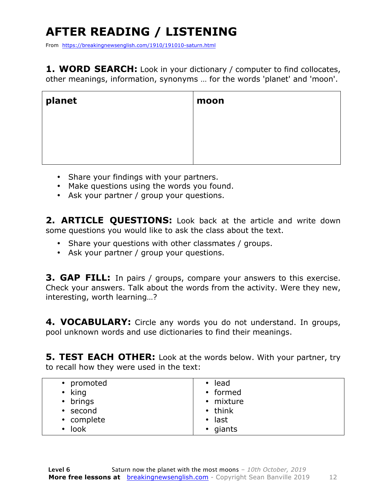# **AFTER READING / LISTENING**

From https://breakingnewsenglish.com/1910/191010-saturn.html

**1. WORD SEARCH:** Look in your dictionary / computer to find collocates, other meanings, information, synonyms … for the words 'planet' and 'moon'.

| planet | moon |
|--------|------|
|        |      |
|        |      |

- Share your findings with your partners.
- Make questions using the words you found.
- Ask your partner / group your questions.

2. **ARTICLE OUESTIONS:** Look back at the article and write down some questions you would like to ask the class about the text.

- Share your questions with other classmates / groups.
- Ask your partner / group your questions.

**3. GAP FILL:** In pairs / groups, compare your answers to this exercise. Check your answers. Talk about the words from the activity. Were they new, interesting, worth learning…?

**4. VOCABULARY:** Circle any words you do not understand. In groups, pool unknown words and use dictionaries to find their meanings.

**5. TEST EACH OTHER:** Look at the words below. With your partner, try to recall how they were used in the text:

| • promoted   | • lead        |
|--------------|---------------|
| $\cdot$ king | • formed      |
| • brings     | • mixture     |
| • second     | $\cdot$ think |
| • complete   | $\cdot$ last  |
| $\cdot$ look | • giants      |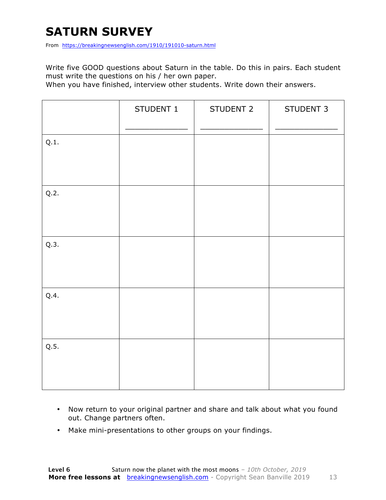### **SATURN SURVEY**

From https://breakingnewsenglish.com/1910/191010-saturn.html

Write five GOOD questions about Saturn in the table. Do this in pairs. Each student must write the questions on his / her own paper.

When you have finished, interview other students. Write down their answers.

|      | STUDENT 1 | STUDENT 2 | STUDENT 3 |
|------|-----------|-----------|-----------|
| Q.1. |           |           |           |
| Q.2. |           |           |           |
| Q.3. |           |           |           |
| Q.4. |           |           |           |
| Q.5. |           |           |           |

- Now return to your original partner and share and talk about what you found out. Change partners often.
- Make mini-presentations to other groups on your findings.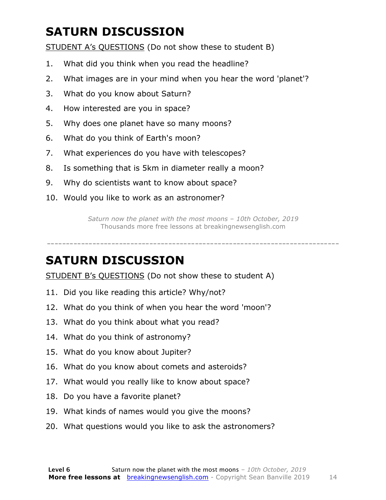# **SATURN DISCUSSION**

STUDENT A's QUESTIONS (Do not show these to student B)

- 1. What did you think when you read the headline?
- 2. What images are in your mind when you hear the word 'planet'?
- 3. What do you know about Saturn?
- 4. How interested are you in space?
- 5. Why does one planet have so many moons?
- 6. What do you think of Earth's moon?
- 7. What experiences do you have with telescopes?
- 8. Is something that is 5km in diameter really a moon?
- 9. Why do scientists want to know about space?
- 10. Would you like to work as an astronomer?

*Saturn now the planet with the most moons – 10th October, 2019* Thousands more free lessons at breakingnewsenglish.com

-----------------------------------------------------------------------------

#### **SATURN DISCUSSION**

STUDENT B's QUESTIONS (Do not show these to student A)

- 11. Did you like reading this article? Why/not?
- 12. What do you think of when you hear the word 'moon'?
- 13. What do you think about what you read?
- 14. What do you think of astronomy?
- 15. What do you know about Jupiter?
- 16. What do you know about comets and asteroids?
- 17. What would you really like to know about space?
- 18. Do you have a favorite planet?
- 19. What kinds of names would you give the moons?
- 20. What questions would you like to ask the astronomers?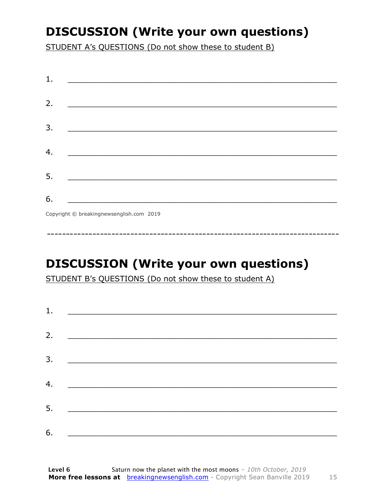### **DISCUSSION (Write your own questions)**

STUDENT A's QUESTIONS (Do not show these to student B)

| 1. |                                           |
|----|-------------------------------------------|
|    |                                           |
| 2. |                                           |
|    |                                           |
| 3. |                                           |
|    |                                           |
| 4. |                                           |
|    |                                           |
| 5. |                                           |
|    |                                           |
| 6. |                                           |
|    | Convright © breaking newsenglish com 2019 |

Copyright © breakingnewsenglish.com 2019

# **DISCUSSION (Write your own questions)**

STUDENT B's QUESTIONS (Do not show these to student A)

| 1. |                                                                                                                        |  |
|----|------------------------------------------------------------------------------------------------------------------------|--|
| 2. |                                                                                                                        |  |
|    | <u> 1980 - Andrea Andrew Maria Barbara, amerikan per</u>                                                               |  |
| 3. |                                                                                                                        |  |
|    |                                                                                                                        |  |
| 4. | <u> 1980 - Jan Barbara Barat, politik a</u>                                                                            |  |
| 5. | <u> 1980 - Johann Stoff, deutscher Stoff, der Stoff, deutscher Stoff, der Stoff, der Stoff, der Stoff, der Stoff, </u> |  |
|    |                                                                                                                        |  |
| 6. |                                                                                                                        |  |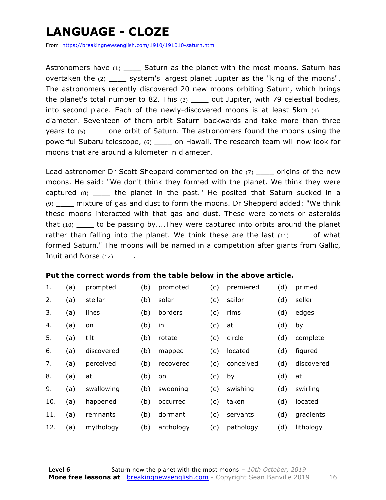### **LANGUAGE - CLOZE**

From https://breakingnewsenglish.com/1910/191010-saturn.html

Astronomers have  $(1)$  Saturn as the planet with the most moons. Saturn has overtaken the (2) \_\_\_\_ system's largest planet Jupiter as the "king of the moons". The astronomers recently discovered 20 new moons orbiting Saturn, which brings the planet's total number to 82. This  $(3)$  \_\_\_\_ out Jupiter, with 79 celestial bodies, into second place. Each of the newly-discovered moons is at least 5km (4) diameter. Seventeen of them orbit Saturn backwards and take more than three years to (5) one orbit of Saturn. The astronomers found the moons using the powerful Subaru telescope, (6) \_\_\_\_ on Hawaii. The research team will now look for moons that are around a kilometer in diameter.

Lead astronomer Dr Scott Sheppard commented on the (7) \_\_\_\_\_ origins of the new moons. He said: "We don't think they formed with the planet. We think they were captured (8) \_\_\_\_ the planet in the past." He posited that Saturn sucked in a (9) \_\_\_\_ mixture of gas and dust to form the moons. Dr Shepperd added: "We think these moons interacted with that gas and dust. These were comets or asteroids that (10) to be passing by....They were captured into orbits around the planet rather than falling into the planet. We think these are the last  $(11)$  \_\_\_\_ of what formed Saturn." The moons will be named in a competition after giants from Gallic, Inuit and Norse (12) .

#### **Put the correct words from the table below in the above article.**

| 1.  | (a) | prompted   | (b) | promoted  | (c) | premiered | (d) | primed     |
|-----|-----|------------|-----|-----------|-----|-----------|-----|------------|
| 2.  | (a) | stellar    | (b) | solar     | (c) | sailor    | (d) | seller     |
| 3.  | (a) | lines      | (b) | borders   | (c) | rims      | (d) | edges      |
| 4.  | (a) | on         | (b) | in        | (c) | at        | (d) | by         |
| 5.  | (a) | tilt       | (b) | rotate    | (c) | circle    | (d) | complete   |
| 6.  | (a) | discovered | (b) | mapped    | (c) | located   | (d) | figured    |
| 7.  | (a) | perceived  | (b) | recovered | (c) | conceived | (d) | discovered |
| 8.  | (a) | at         | (b) | on        | (c) | by        | (d) | at         |
| 9.  | (a) | swallowing | (b) | swooning  | (c) | swishing  | (d) | swirling   |
| 10. | (a) | happened   | (b) | occurred  | (c) | taken     | (d) | located    |
| 11. | (a) | remnants   | (b) | dormant   | (c) | servants  | (d) | gradients  |
| 12. | (a) | mythology  | (b) | anthology | (c) | pathology | (d) | lithology  |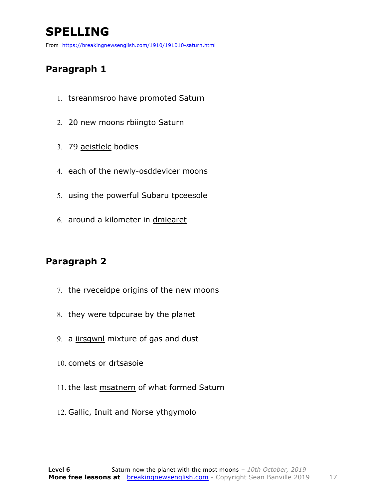# **SPELLING**

From https://breakingnewsenglish.com/1910/191010-saturn.html

#### **Paragraph 1**

- 1. tsreanmsroo have promoted Saturn
- 2. 20 new moons rbiingto Saturn
- 3. 79 aeistlelc bodies
- 4. each of the newly-osddevicer moons
- 5. using the powerful Subaru tpceesole
- 6. around a kilometer in dmiearet

#### **Paragraph 2**

- 7. the rveceidpe origins of the new moons
- 8. they were tdpcurae by the planet
- 9. a iirsgwnl mixture of gas and dust
- 10. comets or drtsasoie
- 11. the last msatnern of what formed Saturn
- 12. Gallic, Inuit and Norse ythgymolo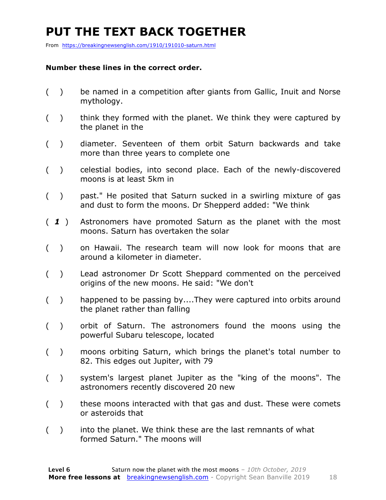### **PUT THE TEXT BACK TOGETHER**

From https://breakingnewsenglish.com/1910/191010-saturn.html

#### **Number these lines in the correct order.**

- ( ) be named in a competition after giants from Gallic, Inuit and Norse mythology.
- ( ) think they formed with the planet. We think they were captured by the planet in the
- ( ) diameter. Seventeen of them orbit Saturn backwards and take more than three years to complete one
- ( ) celestial bodies, into second place. Each of the newly-discovered moons is at least 5km in
- ( ) past." He posited that Saturn sucked in a swirling mixture of gas and dust to form the moons. Dr Shepperd added: "We think
- ( *1* ) Astronomers have promoted Saturn as the planet with the most moons. Saturn has overtaken the solar
- ( ) on Hawaii. The research team will now look for moons that are around a kilometer in diameter.
- ( ) Lead astronomer Dr Scott Sheppard commented on the perceived origins of the new moons. He said: "We don't
- ( ) happened to be passing by....They were captured into orbits around the planet rather than falling
- ( ) orbit of Saturn. The astronomers found the moons using the powerful Subaru telescope, located
- ( ) moons orbiting Saturn, which brings the planet's total number to 82. This edges out Jupiter, with 79
- ( ) system's largest planet Jupiter as the "king of the moons". The astronomers recently discovered 20 new
- ( ) these moons interacted with that gas and dust. These were comets or asteroids that
- ( ) into the planet. We think these are the last remnants of what formed Saturn." The moons will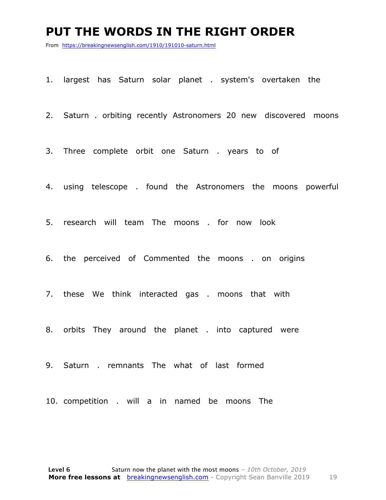#### **PUT THE WORDS IN THE RIGHT ORDER**

From https://breakingnewsenglish.com/1910/191010-saturn.html

1. largest has Saturn solar planet . system's overtaken the

2. Saturn . orbiting recently Astronomers 20 new discovered moons

3. Three complete orbit one Saturn . years to of

4. using telescope . found the Astronomers the moons powerful

5. research will team The moons . for now look

6. the perceived of Commented the moons . on origins

7. these We think interacted gas . moons that with

8. orbits They around the planet . into captured were

9. Saturn . remnants The what of last formed

10. competition . will a in named be moons The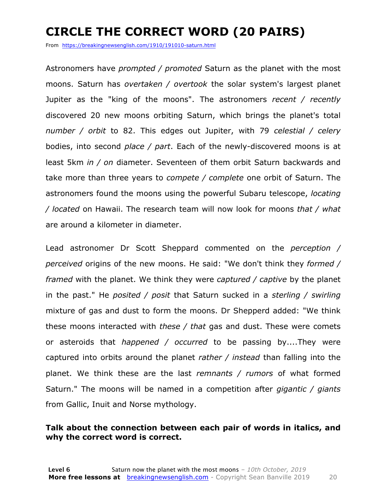### **CIRCLE THE CORRECT WORD (20 PAIRS)**

From https://breakingnewsenglish.com/1910/191010-saturn.html

Astronomers have *prompted / promoted* Saturn as the planet with the most moons. Saturn has *overtaken / overtook* the solar system's largest planet Jupiter as the "king of the moons". The astronomers *recent / recently* discovered 20 new moons orbiting Saturn, which brings the planet's total *number / orbit* to 82. This edges out Jupiter, with 79 *celestial / celery* bodies, into second *place / part*. Each of the newly-discovered moons is at least 5km *in / on* diameter. Seventeen of them orbit Saturn backwards and take more than three years to *compete / complete* one orbit of Saturn. The astronomers found the moons using the powerful Subaru telescope, *locating / located* on Hawaii. The research team will now look for moons *that / what* are around a kilometer in diameter.

Lead astronomer Dr Scott Sheppard commented on the *perception / perceived* origins of the new moons. He said: "We don't think they *formed / framed* with the planet. We think they were *captured / captive* by the planet in the past." He *posited / posit* that Saturn sucked in a *sterling / swirling* mixture of gas and dust to form the moons. Dr Shepperd added: "We think these moons interacted with *these / that* gas and dust. These were comets or asteroids that *happened / occurred* to be passing by....They were captured into orbits around the planet *rather / instead* than falling into the planet. We think these are the last *remnants / rumors* of what formed Saturn." The moons will be named in a competition after *gigantic / giants* from Gallic, Inuit and Norse mythology.

#### **Talk about the connection between each pair of words in italics, and why the correct word is correct.**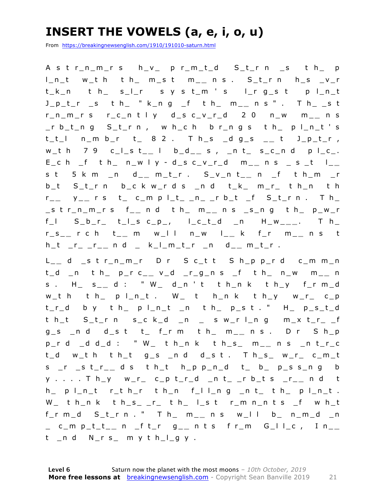### **INSERT THE VOWELS (a, e, i, o, u)**

From https://breakingnewsenglish.com/1910/191010-saturn.html

A s t r\_n\_m\_r s h\_v\_ p r\_m\_t\_d S\_t\_r n \_s t h\_ p l\_n\_t w\_t h t h\_ m\_s t m \_ **\_** n s . S\_t\_r n h\_s \_v\_r t\_k\_n t h\_ s\_l\_r s y s t\_m ' s l\_r g\_s t p l\_n\_t J\_p\_t\_r \_s t h\_ " k\_n g \_f t h\_ m\_ **\_** n s " . T h\_ \_s t r\_n\_m\_r s r\_c\_n t l y d\_s c\_v\_r\_d 2 0 n\_w m\_ **\_** n s \_r b\_t\_n g S\_t\_r n , w h\_c h b r\_n g s t h\_ p l\_n\_t ' s t\_t\_l n\_m b\_r t\_ 8 2 . T h\_s \_d g\_s \_ **\_** t J\_p\_t\_r , w\_t h 7 9 c\_l\_s t\_ **\_** l b\_d\_ **\_** s , \_n t\_ s\_c\_n d p l\_c\_.  $E_{c}$  c h  $_{f}$  t h  $_{n}$  n  $_{w}$  l  $y$  - d  $_{c}$  s  $_{c}$  v  $_{r}$  d  $_{m}$  m  $_{m}$  n s  $_{s}$  s  $_{c}$  t  $_{m}$ s t 5 k m \_n d\_ **\_** m\_t\_r . S\_v\_n t\_ **\_** n \_f t h\_m \_r b\_t S\_t\_r n b\_c k w\_r d s \_n d t\_k\_ m\_r\_ t h\_n t h r \_ **\_** y \_ **\_** r s t\_ c\_m p l\_t\_ \_n\_ \_r b\_t \_f S\_t\_r n . T h\_ \_s t r\_n\_m\_r s f\_ **\_** n d t h\_ m\_ **\_** n s \_s\_n g t h\_ p\_w\_r f\_l S\_b\_r\_ t\_l\_s c\_p\_, l\_c\_t\_d \_ n H\_w\_ **\_ \_** . T h\_ r\_s\_ **\_** r c h t\_ **\_** m w\_l l n\_w l\_ **\_** k f\_r m\_ **\_** n s t h\_t \_r\_ \_r\_ **\_** n d \_ k\_l\_m\_t\_r \_n d\_ **\_** m\_t\_r .

L \_ d strnmr Dr S ctt S hpprd cmmn t\_d \_n t h\_ p\_r c\_ **\_** v\_d \_r\_g\_n s \_f t h\_ n\_w m\_ **\_** n s . H\_ s\_ **\_** d : " W\_ d\_n ' t t h\_n k t h\_y f\_r m\_d w\_t h t h\_ p l\_n\_t . W\_ t h\_n k t h\_y w\_r\_ c\_p t\_r\_d b y t h\_ p l\_n\_t \_n t h\_ p\_s t . " H\_ p\_s\_t\_d t h\_t S\_t\_r n s\_c k\_d \_n \_ s w\_r l\_n g m\_x t\_r\_ \_f g\_s \_n d d\_s t t\_ f\_r m t h\_ m\_ **\_** n s . D r S h\_p p\_r d \_d d\_d : " W\_ t h\_n k t h\_s\_ m\_ **\_** n s \_n t\_r\_c t\_d w\_t h t h\_t g\_s \_n d d\_s t . T h\_s\_ w\_r\_ c\_m\_t s \_r \_s t\_r\_ **\_** d s t h\_t h\_p p\_n\_d t\_ b\_ p\_s s\_n g b y . . . . T h\_y w\_r\_ c\_p t\_r\_d \_n t\_ \_r b\_t s \_r\_ **\_** n d t h\_ p l\_n\_t r\_t h\_r t h\_n f\_l l\_n g \_n t\_ t h\_ p l\_n\_t . W\_ t h\_n k t h\_s\_ \_r\_ t h\_ l\_s t r\_m n\_n t s \_f w h\_t f\_r m\_d S\_t\_r n . " T h\_ m\_ **\_** n s w\_l l b\_ n\_m\_d \_n \_ c\_m p\_t\_t\_ **\_** n \_f t\_r g\_ **\_** n t s f r\_m G\_l l\_c , I n\_ **\_**  t \_n d N\_r s\_ m y t h\_l\_g y .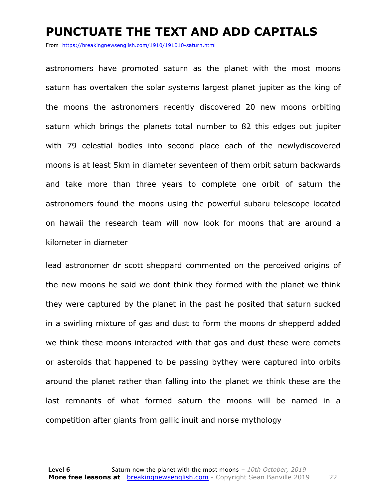#### **PUNCTUATE THE TEXT AND ADD CAPITALS**

From https://breakingnewsenglish.com/1910/191010-saturn.html

astronomers have promoted saturn as the planet with the most moons saturn has overtaken the solar systems largest planet jupiter as the king of the moons the astronomers recently discovered 20 new moons orbiting saturn which brings the planets total number to 82 this edges out jupiter with 79 celestial bodies into second place each of the newlydiscovered moons is at least 5km in diameter seventeen of them orbit saturn backwards and take more than three years to complete one orbit of saturn the astronomers found the moons using the powerful subaru telescope located on hawaii the research team will now look for moons that are around a kilometer in diameter

lead astronomer dr scott sheppard commented on the perceived origins of the new moons he said we dont think they formed with the planet we think they were captured by the planet in the past he posited that saturn sucked in a swirling mixture of gas and dust to form the moons dr shepperd added we think these moons interacted with that gas and dust these were comets or asteroids that happened to be passing bythey were captured into orbits around the planet rather than falling into the planet we think these are the last remnants of what formed saturn the moons will be named in a competition after giants from gallic inuit and norse mythology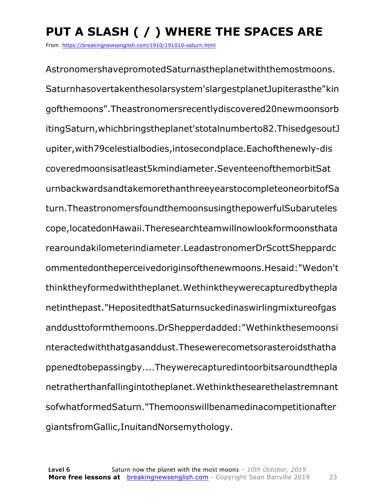# **PUT A SLASH ( / ) WHERE THE SPACES ARE**

From https://breakingnewsenglish.com/1910/191010-saturn.html

AstronomershavepromotedSaturnastheplanetwiththemostmoons. Saturnhasovertakenthesolarsystem'slargestplanetJupiterasthe"kin gofthemoons".Theastronomersrecentlydiscovered20newmoonsorb itingSaturn,whichbringstheplanet'stotalnumberto82.ThisedgesoutJ upiter,with79celestialbodies,intosecondplace.Eachofthenewly-dis coveredmoonsisatleast5kmindiameter.SeventeenofthemorbitSat urnbackwardsandtakemorethanthreeyearstocompleteoneorbitofSa turn.TheastronomersfoundthemoonsusingthepowerfulSubaruteles cope,locatedonHawaii.Theresearchteamwillnowlookformoonsthata rearoundakilometerindiameter.LeadastronomerDrScottSheppardc ommentedontheperceivedoriginsofthenewmoons.Hesaid:"Wedon't thinktheyformedwiththeplanet.Wethinktheywerecapturedbythepla netinthepast."HepositedthatSaturnsuckedinaswirlingmixtureofgas anddusttoformthemoons.DrShepperdadded:"Wethinkthesemoonsi nteractedwiththatgasanddust.Thesewerecometsorasteroidsthatha ppenedtobepassingby....Theywerecapturedintoorbitsaroundthepla netratherthanfallingintotheplanet.Wethinkthesearethelastremnant sofwhatformedSaturn."Themoonswillbenamedinacompetitionafter giantsfromGallic,InuitandNorsemythology.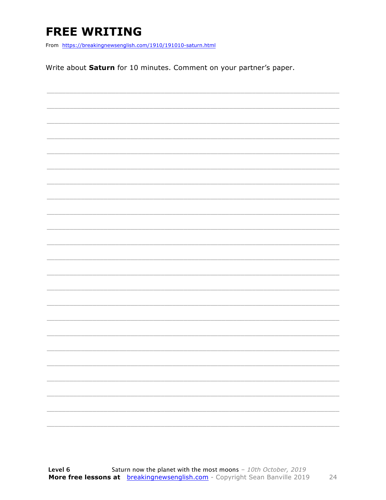## **FREE WRITING**

From https://breakingnewsenglish.com/1910/191010-saturn.html

Write about Saturn for 10 minutes. Comment on your partner's paper.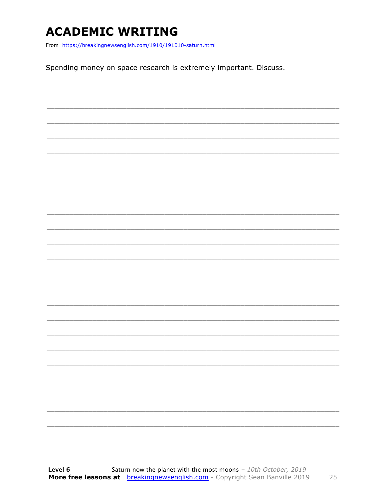### **ACADEMIC WRITING**

From https://breakingnewsenglish.com/1910/191010-saturn.html

Spending money on space research is extremely important. Discuss.

|  |  | $\frac{1}{2} \left( \frac{1}{2} \right) \left( \frac{1}{2} \right) \left( \frac{1}{2} \right) \left( \frac{1}{2} \right) \left( \frac{1}{2} \right) \left( \frac{1}{2} \right) \left( \frac{1}{2} \right) \left( \frac{1}{2} \right) \left( \frac{1}{2} \right) \left( \frac{1}{2} \right) \left( \frac{1}{2} \right) \left( \frac{1}{2} \right) \left( \frac{1}{2} \right) \left( \frac{1}{2} \right) \left( \frac{1}{2} \right) \left( \frac{1}{2} \right) \left( \frac$ |
|--|--|----------------------------------------------------------------------------------------------------------------------------------------------------------------------------------------------------------------------------------------------------------------------------------------------------------------------------------------------------------------------------------------------------------------------------------------------------------------------------|
|  |  |                                                                                                                                                                                                                                                                                                                                                                                                                                                                            |
|  |  |                                                                                                                                                                                                                                                                                                                                                                                                                                                                            |
|  |  |                                                                                                                                                                                                                                                                                                                                                                                                                                                                            |
|  |  |                                                                                                                                                                                                                                                                                                                                                                                                                                                                            |
|  |  |                                                                                                                                                                                                                                                                                                                                                                                                                                                                            |
|  |  |                                                                                                                                                                                                                                                                                                                                                                                                                                                                            |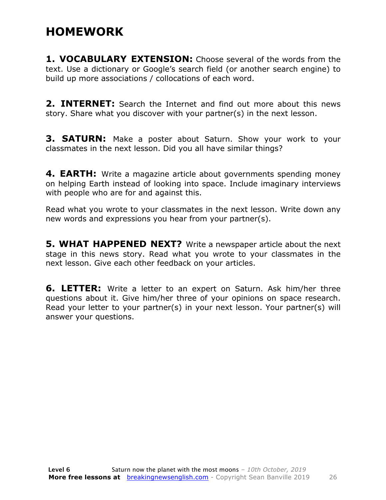### **HOMEWORK**

**1. VOCABULARY EXTENSION:** Choose several of the words from the text. Use a dictionary or Google's search field (or another search engine) to build up more associations / collocations of each word.

**2. INTERNET:** Search the Internet and find out more about this news story. Share what you discover with your partner(s) in the next lesson.

**3. SATURN:** Make a poster about Saturn. Show your work to your classmates in the next lesson. Did you all have similar things?

**4. EARTH:** Write a magazine article about governments spending money on helping Earth instead of looking into space. Include imaginary interviews with people who are for and against this.

Read what you wrote to your classmates in the next lesson. Write down any new words and expressions you hear from your partner(s).

**5. WHAT HAPPENED NEXT?** Write a newspaper article about the next stage in this news story. Read what you wrote to your classmates in the next lesson. Give each other feedback on your articles.

**6. LETTER:** Write a letter to an expert on Saturn. Ask him/her three questions about it. Give him/her three of your opinions on space research. Read your letter to your partner(s) in your next lesson. Your partner(s) will answer your questions.